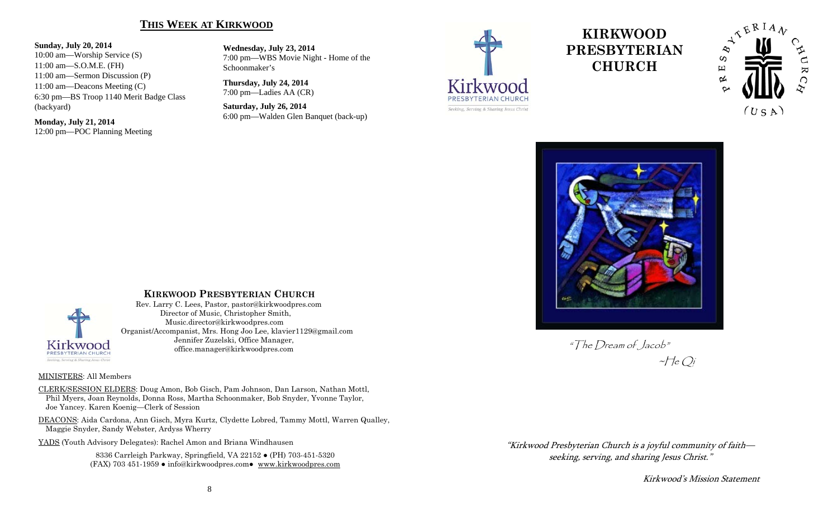#### **THIS WEEK AT KIRKWOOD**

#### **Sunday, July 20, 2014**

10:00 am—Worship Service (S) 11:00 am—S.O.M.E. (FH) 11:00 am—Sermon Discussion (P) 11:00 am—Deacons Meeting (C) 6:30 pm—BS Troop 1140 Merit Badge Class (backyard)

**Monday, July 21, 2014**  12:00 pm—POC Planning Meeting

**Wednesday, July 23, 2014**  7:00 pm—WBS Movie Night - Home of the Schoonmaker's

**Thursday, July 24, 2014**  7:00 pm—Ladies AA (CR)

**Saturday, July 26, 2014**  6:00 pm—Walden Glen Banquet (back-up)



# **KIRKWOOD PRESBYTERIAN CHURCH**





"The Dream of Jacob"  $-$ He Qi

#### **KIRKWOOD PRESBYTERIAN CHURCH** Rev. Larry C. Lees, Pastor, pastor@kirkwoodpres.com Director of Music, Christopher Smith, Music.director@kirkwoodpres.com

 Organist/Accompanist, Mrs. Hong Joo Lee, klavier1129@gmail.com Jennifer Zuzelski, Office Manager, office.manager@kirkwoodpres.com

#### MINISTERS: All Members

Kirkwood PRESBYTERIAN CHURCH Serving & Sharing Jesus Chri

CLERK/SESSION ELDERS: Doug Amon, Bob Gisch, Pam Johnson, Dan Larson, Nathan Mottl, Phil Myers, Joan Reynolds, Donna Ross, Martha Schoonmaker, Bob Snyder, Yvonne Taylor, Joe Yancey. Karen Koenig—Clerk of Session

DEACONS: Aida Cardona, Ann Gisch, Myra Kurtz, Clydette Lobred, Tammy Mottl, Warren Qualley, Maggie Snyder, Sandy Webster, Ardyss Wherry

YADS (Youth Advisory Delegates): Rachel Amon and Briana Windhausen

8336 Carrleigh Parkway, Springfield, VA 22152 ● (PH) 703-451-5320 (FAX) 703 451-1959 ● info@kirkwoodpres.com● www.kirkwoodpres.com "Kirkwood Presbyterian Church is a joyful community of faith seeking, serving, and sharing Jesus Christ."

Kirkwood's Mission Statement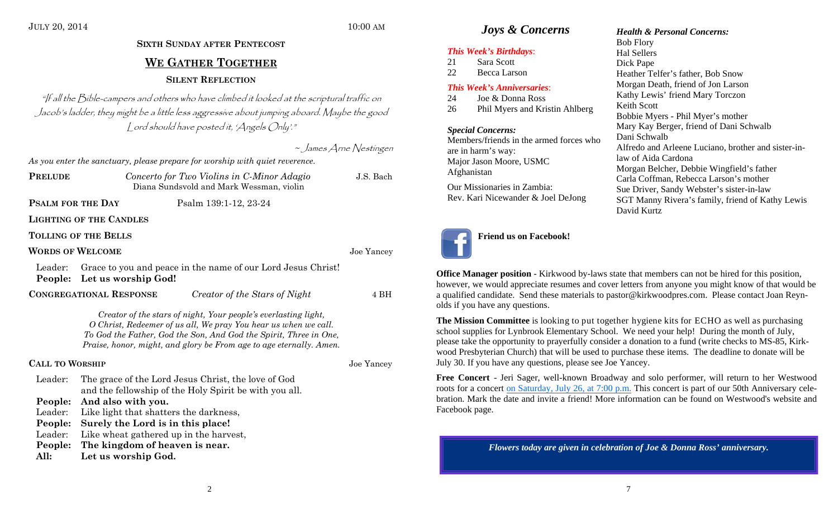#### JULY 20, 2014 10:00 AM

# **SIXTH SUNDAY AFTER PENTECOST WE GATHER TOGETHERSILENT REFLECTION**

"If all the Bible-campers and others who have climbed it looked at the scriptural traffic on Jacob's ladder, they might be a little less aggressive about jumping aboard. Maybe the good Lord should have posted it, 'Angels Only'."

~ James Arne Nestingen

*As you enter the sanctuary, please prepare for worship with quiet reverence.* 

- **PRELUDE** *Concerto for Two Violins in C-Minor Adagio* J.S. Bach Diana Sundsvold and Mark Wessman, violin
- **PSALM** FOR THE DAY Psalm 139:1-12, 23-24

#### **LIGHTING OF THE CANDLES**

#### **TOLLING OF THE BELLS**

#### **WORDS OF WELCOME**

Leader: Grace to you and peace in the name of our Lord Jesus Christ!

#### **People: Let us worship God!**

**CONGREGATIONAL RESPONSE***Creator of the Stars of Night* 4 BH

> *Creator of the stars of night, Your people's everlasting light, O Christ, Redeemer of us all, We pray You hear us when we call. To God the Father, God the Son, And God the Spirit, Three in One, Praise, honor, might, and glory be From age to age eternally. Amen.*

#### **CALL TO WORSHIP** Joe Yancey

Joe Yancey

Leader: The grace of the Lord Jesus Christ, the love of God and the fellowship of the Holy Spirit be with you all.

**People: And also with you.** 

- Leader: Like light that shatters the darkness,
- **People: Surely the Lord is in this place!**
- Leader: Like wheat gathered up in the harvest,
- **People: The kingdom of heaven is near.**
- **All: Let us worship God.**

#### *Joys & Concerns Health & Personal Concerns:*

#### *This Week's Birthdays*:

- 21 Sara Scott
- 22 Becca Larson

#### *This Week's Anniversaries*:

24 Joe & Donna Ross 26 Phil Myers and Kristin Ahlberg

#### *Special Concerns:*

Members/friends in the armed forces who are in harm's way: Major Jason Moore, USMC Afghanistan

Our Missionaries in Zambia: Rev. Kari Nicewander & Joel DeJong

# **Friend us on Facebook!**

Bob Flory Hal Sellers Dick Pape Heather Telfer's father, Bob Snow Morgan Death, friend of Jon Larson Kathy Lewis' friend Mary Torczon Keith Scott Bobbie Myers - Phil Myer's mother Mary Kay Berger, friend of Dani Schwalb Dani Schwalb Alfredo and Arleene Luciano, brother and sister-inlaw of Aida Cardona Morgan Belcher, Debbie Wingfield's father Carla Coffman, Rebecca Larson's mother Sue Driver, Sandy Webster's sister-in-law SGT Manny Rivera's family, friend of Kathy Lewis David Kurtz

**Office Manager position** - Kirkwood by-laws state that members can not be hired for this position, however, we would appreciate resumes and cover letters from anyone you might know of that would be a qualified candidate. Send these materials to pastor@kirkwoodpres.com. Please contact Joan Reynolds if you have any questions.

**The Mission Committee** is looking to put together hygiene kits for ECHO as well as purchasing school supplies for Lynbrook Elementary School. We need your help! During the month of July, please take the opportunity to prayerfully consider a donation to a fund (write checks to MS-85, Kirkwood Presbyterian Church) that will be used to purchase these items. The deadline to donate will be July 30. If you have any questions, please see Joe Yancey.

**Free Concert** - Jeri Sager, well-known Broadway and solo performer, will return to her Westwood roots for a concert on Saturday, July 26, at 7:00 p.m. This concert is part of our 50th Anniversary celebration. Mark the date and invite a friend! More information can be found on Westwood's website and Facebook page.

*Flowers today are given in celebration of Joe & Donna Ross' anniversary.*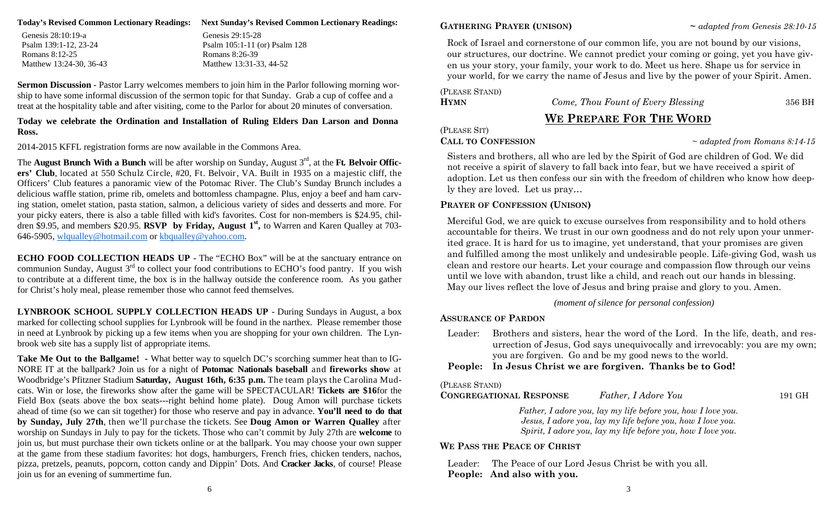|  | Today's Revised Common Lectionary Readings: Next Sunday's Revised Common Lectionary Readings: |
|--|-----------------------------------------------------------------------------------------------|
|--|-----------------------------------------------------------------------------------------------|

| Genesis 28:10:19-a      |
|-------------------------|
| Psalm 139:1-12, 23-24   |
| Romans 8:12-25          |
| Matthew 13:24-30, 36-43 |

Genesis 29:15-28 Psalm 105:1-11 (or) Psalm 128 Romans 8:26-39 Matthew 13:31-33, 44-52

**Sermon Discussion** - Pastor Larry welcomes members to join him in the Parlor following morning worship to have some informal discussion of the sermon topic for that Sunday. Grab a cup of coffee and a treat at the hospitality table and after visiting, come to the Parlor for about 20 minutes of conversation.

**Today we celebrate the Ordination and Installation of Ruling Elders Dan Larson and Donna Ross.** 

2014-2015 KFFL registration forms are now available in the Commons Area.

The **August Brunch With a Bunch** will be after worship on Sunday, August 3<sup>rd</sup>, at the Ft. Belvoir Offic**ers' Club**, located at 550 Schulz Circle, #20, Ft. Belvoir, VA. Built in 1935 on a majestic cliff, the Officers' Club features a panoramic view of the Potomac River. The Club's Sunday Brunch includes a delicious waffle station, prime rib, omelets and bottomless champagne. Plus, enjoy a beef and ham carving station, omelet station, pasta station, salmon, a delicious variety of sides and desserts and more. For your picky eaters, there is also a table filled with kid's favorites. Cost for non-members is \$24.95, children \$9.95, and members \$20.95. **RSVP** by Friday, August 1<sup>st</sup>, to Warren and Karen Qualley at 703-646-5905, wlqualley@hotmail.com or kbqualley@yahoo.com.

**ECHO FOOD COLLECTION HEADS UP - The "ECHO Box" will be at the sanctuary entrance on** communion Sunday, August 3<sup>rd</sup> to collect your food contributions to ECHO's food pantry. If you wish to contribute at a different time, the box is in the hallway outside the conference room. As you gather for Christ's holy meal, please remember those who cannot feed themselves.

**LYNBROOK SCHOOL SUPPLY COLLECTION HEADS UP** - During Sundays in August, a box marked for collecting school supplies for Lynbrook will be found in the narthex. Please remember those in need at Lynbrook by picking up a few items when you are shopping for your own children. The Lynbrook web site has a supply list of appropriate items.

**Take Me Out to the Ballgame! -** What better way to squelch DC's scorching summer heat than to IG-NORE IT at the ballpark? Join us for a night of **Potomac Nationals baseball** and **fireworks show** at Woodbridge's Pfitzner Stadium **Saturday, August 16th, 6:35 p.m.** The team plays the Carolina Mudcats. Win or lose, the fireworks show after the game will be SPECTACULAR! **Tickets are \$16**for the Field Box (seats above the box seats---right behind home plate). Doug Amon will purchase tickets ahead of time (so we can sit together) for those who reserve and pay in advance. **You'll need to do that by Sunday, July 27th**, then we'll purchase the tickets. See **Doug Amon or Warren Qualley** after worship on Sundays in July to pay for the tickets. Those who can't commit by July 27th are **welcome** to join us, but must purchase their own tickets online or at the ballpark. You may choose your own supper at the game from these stadium favorites: hot dogs, hamburgers, French fries, chicken tenders, nachos, pizza, pretzels, peanuts, popcorn, cotton candy and Dippin' Dots. And **Cracker Jacks**, of course! Please join us for an evening of summertime fun.

Rock of Israel and cornerstone of our common life, you are not bound by our visions, our structures, our doctrine. We cannot predict your coming or going, yet you have given us your story, your family, your work to do. Meet us here. Shape us for service in your world, for we carry the name of Jesus and live by the power of your Spirit. Amen.

(PLEASE STAND)

**HYMN**

*Come, Thou Fount of Every Blessing* 356 BH

# **WE PREPARE FOR THE WORD**

#### (PLEASE SIT) **CALL TO CONFESSION**

<sup>~</sup>*adapted from Romans 8:14-15*

Sisters and brothers, all who are led by the Spirit of God are children of God. We did not receive a spirit of slavery to fall back into fear, but we have received a spirit of adoption. Let us then confess our sin with the freedom of children who know how deeply they are loved. Let us pray…

#### **PRAYER OF CONFESSION (UNISON)**

Merciful God, we are quick to excuse ourselves from responsibility and to hold others accountable for theirs. We trust in our own goodness and do not rely upon your unmerited grace. It is hard for us to imagine, yet understand, that your promises are given and fulfilled among the most unlikely and undesirable people. Life-giving God, wash us clean and restore our hearts. Let your courage and compassion flow through our veins until we love with abandon, trust like a child, and reach out our hands in blessing. May our lives reflect the love of Jesus and bring praise and glory to you. Amen.

*(moment of silence for personal confession)*

#### **ASSURANCE OF PARDON**

Leader: Brothers and sisters, hear the word of the Lord. In the life, death, and resurrection of Jesus, God says unequivocally and irrevocably: you are my own; you are forgiven. Go and be my good news to the world.

**People: In Jesus Christ we are forgiven. Thanks be to God!**

#### (PLEASE STAND)

**CONGREGATIONAL RESPONSE** *Father, I Adore You* 191 GH

*Father, I adore you, lay my life before you, how I love you. Jesus, I adore you, lay my life before you, how I love you. Spirit, I adore you, lay my life before you, how I love you.*

#### **WE PASS THE PEACE OF CHRIST**

Leader: The Peace of our Lord Jesus Christ be with you all. **People: And also with you.**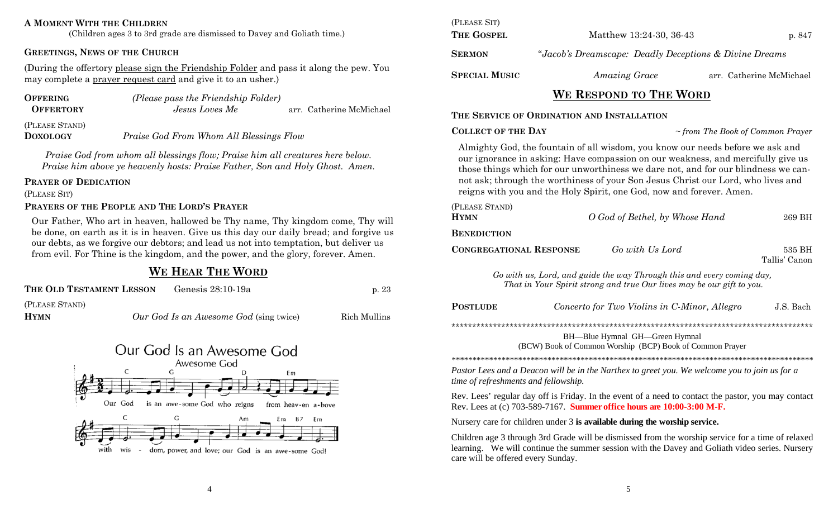#### **A MOMENT WITH THE CHILDREN**

(Children ages 3 to 3rd grade are dismissed to Davey and Goliath time.)

#### **GREETINGS, NEWS OF THE CHURCH**

(During the offertory please sign the Friendship Folder and pass it along the pew. You may complete a prayer request card and give it to an usher.)

| <b>OFFERING</b>  | (Please pass the Friendship Folder) |                          |
|------------------|-------------------------------------|--------------------------|
| <b>OFFERTORY</b> | Jesus Loves Me                      | arr. Catherine McMichael |

(PLEASE STAND) **DOXOLOGY**

*Praise God From Whom All Blessings Flow* 

*Praise God from whom all blessings flow; Praise him all creatures here below. Praise him above ye heavenly hosts: Praise Father, Son and Holy Ghost. Amen.* 

#### **PRAYER OF DEDICATION**

(PLEASE SIT)

#### **PRAYERS OF THE PEOPLE AND THE LORD'S PRAYER**

Our Father, Who art in heaven, hallowed be Thy name, Thy kingdom come, Thy will be done, on earth as it is in heaven. Give us this day our daily bread; and forgive us our debts, as we forgive our debtors; and lead us not into temptation, but deliver us from evil. For Thine is the kingdom, and the power, and the glory, forever. Amen.

### **WE HEAR THE WORD**

| THE OLD TESTAMENT LESSON | Genesis 28:10-19a                             | p. 23        |
|--------------------------|-----------------------------------------------|--------------|
| (PLEASE STAND)           |                                               |              |
| HYMN                     | <i>Our God Is an Awesome God (sing twice)</i> | Rich Mullins |



| (PLEASE SIT)         |                                                        |                          |  |
|----------------------|--------------------------------------------------------|--------------------------|--|
| THE GOSPEL           | Matthew 13:24-30, 36-43                                |                          |  |
| <b>SERMON</b>        | "Jacob's Dreamscape: Deadly Deceptions & Divine Dreams |                          |  |
| <b>SPECIAL MUSIC</b> | <i>Amazing Grace</i>                                   | arr. Catherine McMichael |  |

#### **WE RESPOND TO THE WORD**

#### **THE SERVICE OF ORDINATION AND INSTALLATION**

**COLLECT OF THE DAY** 

 $\sim$  *from The Book of Common Prayer* 

Almighty God, the fountain of all wisdom, you know our needs before we ask and our ignorance in asking: Have compassion on our weakness, and mercifully give us those things which for our unworthiness we dare not, and for our blindness we cannot ask; through the worthiness of your Son Jesus Christ our Lord, who lives and reigns with you and the Holy Spirit, one God, now and forever. Amen.

| (PLEASE STAND)<br><b>HYMN</b>                                                                                                                                                                                                             |  | O God of Bethel, by Whose Hand                                                                                                                                                | 269 BH                  |
|-------------------------------------------------------------------------------------------------------------------------------------------------------------------------------------------------------------------------------------------|--|-------------------------------------------------------------------------------------------------------------------------------------------------------------------------------|-------------------------|
| <b>BENEDICTION</b>                                                                                                                                                                                                                        |  |                                                                                                                                                                               |                         |
| <b>CONGREGATIONAL RESPONSE</b>                                                                                                                                                                                                            |  | Go with Us Lord                                                                                                                                                               | 535 BH<br>Tallis' Canon |
|                                                                                                                                                                                                                                           |  | Go with us, Lord, and guide the way Through this and every coming day,<br>That in Your Spirit strong and true Our lives may be our gift to you.                               |                         |
| <b>POSTLUDE</b>                                                                                                                                                                                                                           |  | Concerto for Two Violins in C-Minor, Allegro                                                                                                                                  | J.S. Bach               |
|                                                                                                                                                                                                                                           |  |                                                                                                                                                                               |                         |
|                                                                                                                                                                                                                                           |  | BH—Blue Hymnal GH—Green Hymnal<br>(BCW) Book of Common Worship (BCP) Book of Common Prayer                                                                                    |                         |
|                                                                                                                                                                                                                                           |  |                                                                                                                                                                               |                         |
| time of refreshments and fellowship.                                                                                                                                                                                                      |  | Pastor Lees and a Deacon will be in the Narthex to greet you. We welcome you to join us for a                                                                                 |                         |
|                                                                                                                                                                                                                                           |  | Rev. Lees' regular day off is Friday. In the event of a need to contact the pastor, you may contact<br>Rev. Lees at (c) 703-589-7167. Summer office hours are 10:00-3:00 M-F. |                         |
|                                                                                                                                                                                                                                           |  | Nursery care for children under 3 is available during the worship service.                                                                                                    |                         |
| Children age 3 through 3rd Grade will be dismissed from the worship service for a time of relaxed<br>learning. We will continue the summer session with the Davey and Goliath video series. Nursery<br>care will be offered every Sunday. |  |                                                                                                                                                                               |                         |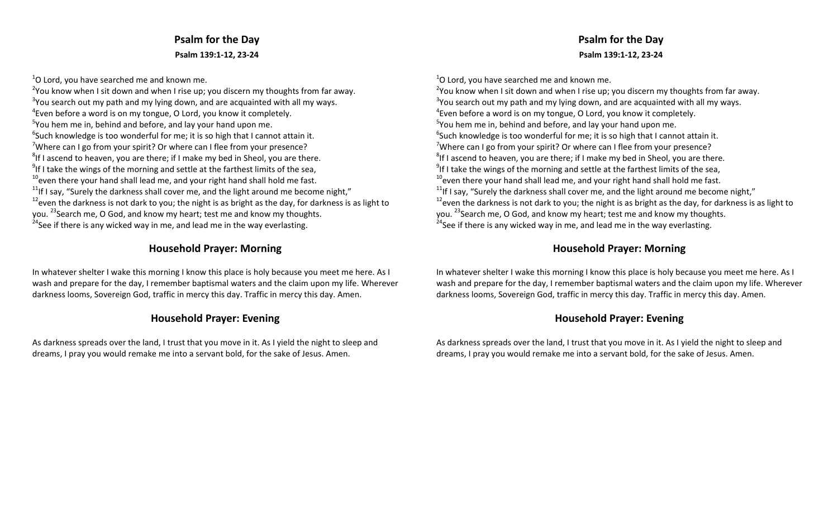# **Psalm for the Day Psalm 139:1‐12, 23‐24**

 $^{1}$ O Lord, you have searched me and known me.

<sup>2</sup>You know when I sit down and when I rise up; you discern my thoughts from far away.  $3$ You search out my path and my lying down, and are acquainted with all my ways.  $^4$ Even before a word is on my tongue, O Lord, you know it completely. <sup>5</sup>You hem me in, behind and before, and lay your hand upon me.  $^6$ Such knowledge is too wonderful for me; it is so high that I cannot attain it. <sup>7</sup>Where can I go from your spirit? Or where can I flee from your presence?  ${}^{8}$ If I ascend to heaven, you are there; if I make my bed in Sheol, you are there.  $^{9}$ If I take the wings of the morning and settle at the farthest limits of the sea,  $^{10}$ even there your hand shall lead me, and your right hand shall hold me fast.  $11$ If I say, "Surely the darkness shall cover me, and the light around me become night,"  $^{12}$ even the darkness is not dark to you; the night is as bright as the day, for darkness is as light to you. <sup>23</sup> Search me, O God, and know my heart; test me and know my thoughts. <sup>24</sup>See if there is any wicked way in me, and lead me in the way everlasting.

# **Household Prayer: Morning**

In whatever shelter I wake this morning I know this place is holy because you meet me here. As I wash and prepare for the day, I remember baptismal waters and the claim upon my life. Wherever darkness looms, Sovereign God, traffic in mercy this day. Traffic in mercy this day. Amen.

# **Household Prayer: Evening**

As darkness spreads over the land, I trust that you move in it. As I yield the night to sleep and dreams, I pray you would remake me into <sup>a</sup> servant bold, for the sake of Jesus. Amen.

# **Psalm for the Day Psalm 139:1‐12, 23‐24**

 $^{1}$ O Lord, you have searched me and known me.

<sup>2</sup>You know when I sit down and when I rise up; you discern my thoughts from far away.  $3$ You search out my path and my lying down, and are acquainted with all my ways.  $^4$ Even before a word is on my tongue, O Lord, you know it completely. <sup>5</sup>You hem me in, behind and before, and lay your hand upon me.  $^6$ Such knowledge is too wonderful for me; it is so high that I cannot attain it. <sup>7</sup>Where can I go from your spirit? Or where can I flee from your presence?  ${}^{8}$ If I ascend to heaven, you are there; if I make my bed in Sheol, you are there.  $^{9}$ If I take the wings of the morning and settle at the farthest limits of the sea,  $^{10}$ even there your hand shall lead me, and your right hand shall hold me fast.  $11$ If I say, "Surely the darkness shall cover me, and the light around me become night,"  $^{12}$ even the darkness is not dark to you; the night is as bright as the day, for darkness is as light to you. <sup>23</sup> Search me, O God, and know my heart; test me and know my thoughts. <sup>24</sup>See if there is any wicked way in me, and lead me in the way everlasting.

# **Household Prayer: Morning**

In whatever shelter I wake this morning I know this place is holy because you meet me here. As I wash and prepare for the day, I remember baptismal waters and the claim upon my life. Wherever darkness looms, Sovereign God, traffic in mercy this day. Traffic in mercy this day. Amen.

# **Household Prayer: Evening**

As darkness spreads over the land, I trust that you move in it. As I yield the night to sleep and dreams, I pray you would remake me into <sup>a</sup> servant bold, for the sake of Jesus. Amen.